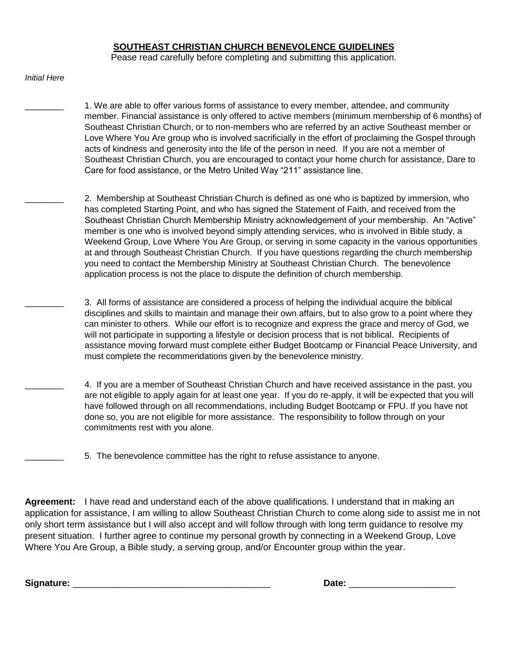#### **SOUTHEAST CHRISTIAN CHURCH BENEVOLENCE GUIDELINES**

Pease read carefully before completing and submitting this application.

*Initial Here*

1. We are able to offer various forms of assistance to every member, attendee, and community member. Financial assistance is only offered to active members (minimum membership of 6 months) of Southeast Christian Church, or to non-members who are referred by an active Southeast member or Love Where You Are group who is involved sacrificially in the effort of proclaiming the Gospel through acts of kindness and generosity into the life of the person in need. If you are not a member of Southeast Christian Church, you are encouraged to contact your home church for assistance, Dare to Care for food assistance, or the Metro United Way "211" assistance line.

2. Membership at Southeast Christian Church is defined as one who is baptized by immersion, who has completed Starting Point, and who has signed the Statement of Faith, and received from the Southeast Christian Church Membership Ministry acknowledgement of your membership. An "Active" member is one who is involved beyond simply attending services, who is involved in Bible study, a Weekend Group, Love Where You Are Group, or serving in some capacity in the various opportunities at and through Southeast Christian Church. If you have questions regarding the church membership you need to contact the Membership Ministry at Southeast Christian Church. The benevolence application process is not the place to dispute the definition of church membership.

- \_\_\_\_\_\_\_\_ 3. All forms of assistance are considered a process of helping the individual acquire the biblical disciplines and skills to maintain and manage their own affairs, but to also grow to a point where they can minister to others. While our effort is to recognize and express the grace and mercy of God, we will not participate in supporting a lifestyle or decision process that is not biblical. Recipients of assistance moving forward must complete either Budget Bootcamp or Financial Peace University, and must complete the recommendations given by the benevolence ministry.
- \_\_\_\_\_\_\_\_ 4. If you are a member of Southeast Christian Church and have received assistance in the past, you are not eligible to apply again for at least one year. If you do re-apply, it will be expected that you will have followed through on all recommendations, including Budget Bootcamp or FPU. If you have not done so, you are not eligible for more assistance. The responsibility to follow through on your commitments rest with you alone.
	- \_\_\_\_\_\_\_\_ 5. The benevolence committee has the right to refuse assistance to anyone.

**Agreement:** I have read and understand each of the above qualifications. I understand that in making an application for assistance, I am willing to allow Southeast Christian Church to come along side to assist me in not only short term assistance but I will also accept and will follow through with long term guidance to resolve my present situation. I further agree to continue my personal growth by connecting in a Weekend Group, Love Where You Are Group, a Bible study, a serving group, and/or Encounter group within the year.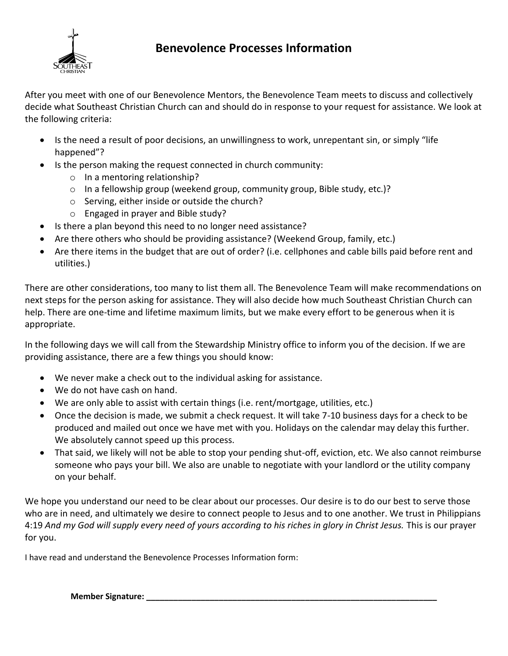

#### **Benevolence Processes Information**

After you meet with one of our Benevolence Mentors, the Benevolence Team meets to discuss and collectively decide what Southeast Christian Church can and should do in response to your request for assistance. We look at the following criteria:

- Is the need a result of poor decisions, an unwillingness to work, unrepentant sin, or simply "life happened"?
- Is the person making the request connected in church community:
	- o In a mentoring relationship?
	- o In a fellowship group (weekend group, community group, Bible study, etc.)?
	- o Serving, either inside or outside the church?
	- o Engaged in prayer and Bible study?
- Is there a plan beyond this need to no longer need assistance?
- Are there others who should be providing assistance? (Weekend Group, family, etc.)
- Are there items in the budget that are out of order? (i.e. cellphones and cable bills paid before rent and utilities.)

There are other considerations, too many to list them all. The Benevolence Team will make recommendations on next steps for the person asking for assistance. They will also decide how much Southeast Christian Church can help. There are one-time and lifetime maximum limits, but we make every effort to be generous when it is appropriate.

In the following days we will call from the Stewardship Ministry office to inform you of the decision. If we are providing assistance, there are a few things you should know:

- We never make a check out to the individual asking for assistance.
- We do not have cash on hand.
- We are only able to assist with certain things (i.e. rent/mortgage, utilities, etc.)
- Once the decision is made, we submit a check request. It will take 7-10 business days for a check to be produced and mailed out once we have met with you. Holidays on the calendar may delay this further. We absolutely cannot speed up this process.
- That said, we likely will not be able to stop your pending shut-off, eviction, etc. We also cannot reimburse someone who pays your bill. We also are unable to negotiate with your landlord or the utility company on your behalf.

We hope you understand our need to be clear about our processes. Our desire is to do our best to serve those who are in need, and ultimately we desire to connect people to Jesus and to one another. We trust in Philippians 4:19 *And my God will supply every need of yours according to his riches in glory in Christ Jesus.* This is our prayer for you.

I have read and understand the Benevolence Processes Information form:

**Member Signature: \_\_\_\_\_\_\_\_\_\_\_\_\_\_\_\_\_\_\_\_\_\_\_\_\_\_\_\_\_\_\_\_\_\_\_\_\_\_\_\_\_\_\_\_\_\_\_\_\_\_\_\_\_\_\_\_\_\_\_\_\_\_\_\_**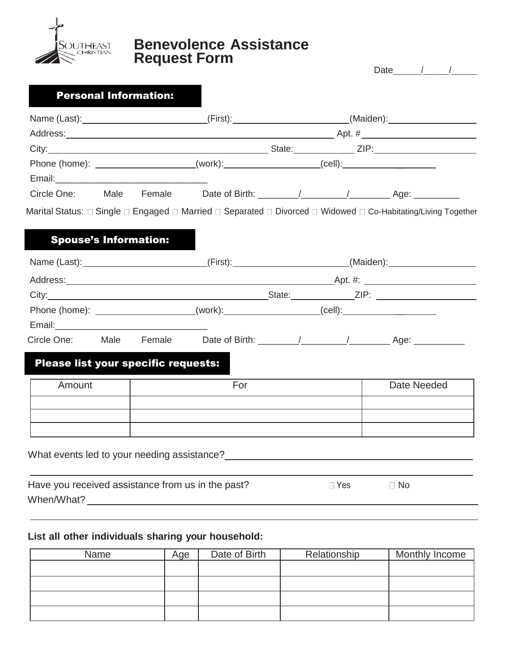

## **Benevolence Assistance Request Form**

|                                                                                                                                                                                                                                                                                     |                              |                                                                                  |            | Date / /                                                                                                       |
|-------------------------------------------------------------------------------------------------------------------------------------------------------------------------------------------------------------------------------------------------------------------------------------|------------------------------|----------------------------------------------------------------------------------|------------|----------------------------------------------------------------------------------------------------------------|
|                                                                                                                                                                                                                                                                                     | <b>Personal Information:</b> |                                                                                  |            |                                                                                                                |
|                                                                                                                                                                                                                                                                                     |                              |                                                                                  |            | Name (Last): ________________________________(First): _________________________(Maiden): ____________________  |
|                                                                                                                                                                                                                                                                                     |                              |                                                                                  |            |                                                                                                                |
|                                                                                                                                                                                                                                                                                     |                              |                                                                                  |            |                                                                                                                |
| Email: 2008. 2009. 2010. 2010. 2010. 2010. 2010. 2010. 2010. 2010. 2010. 2010. 2010. 2010. 2010. 2010. 2010. 20                                                                                                                                                                     |                              | Phone (home): ____________________(work):__________________(cell):______________ |            |                                                                                                                |
|                                                                                                                                                                                                                                                                                     |                              |                                                                                  |            |                                                                                                                |
| <b>Spouse's Information:</b>                                                                                                                                                                                                                                                        |                              |                                                                                  |            | Marital Status: □ Single □ Engaged □ Married □ Separated □ Divorced □ Widowed □ Co-Habitating/Living Together  |
|                                                                                                                                                                                                                                                                                     |                              |                                                                                  |            | Name (Last): _____________________________(First): _______________________(Maiden): ________________           |
|                                                                                                                                                                                                                                                                                     |                              |                                                                                  |            |                                                                                                                |
|                                                                                                                                                                                                                                                                                     |                              |                                                                                  |            |                                                                                                                |
|                                                                                                                                                                                                                                                                                     |                              | Phone (home): ____________________(work):__________________(cell):______________ |            |                                                                                                                |
|                                                                                                                                                                                                                                                                                     |                              |                                                                                  |            | Circle One: Male Female Date of Birth: \[\sqrtdgs\rightarrow_/\] ________________ Age: \[\sqrtdgs\rightarrow__ |
| Please list your specific requests:                                                                                                                                                                                                                                                 |                              |                                                                                  |            |                                                                                                                |
| Amount                                                                                                                                                                                                                                                                              |                              | For                                                                              |            | Date Needed                                                                                                    |
|                                                                                                                                                                                                                                                                                     |                              |                                                                                  |            |                                                                                                                |
| What events led to your needing assistance?                                                                                                                                                                                                                                         |                              |                                                                                  |            |                                                                                                                |
| Have you received assistance from us in the past?<br>When/What? Management of the Contract of the Contract of the Contract of the Contract of the Contract of the Contract of the Contract of the Contract of the Contract of the Contract of the Contract of the Contract of the C |                              |                                                                                  | $\Box$ Yes | $\Box$ No                                                                                                      |

## **List all other individuals sharing your household:**

| Name | Age | Date of Birth | Relationship | Monthly Income |
|------|-----|---------------|--------------|----------------|
|      |     |               |              |                |
|      |     |               |              |                |
|      |     |               |              |                |
|      |     |               |              |                |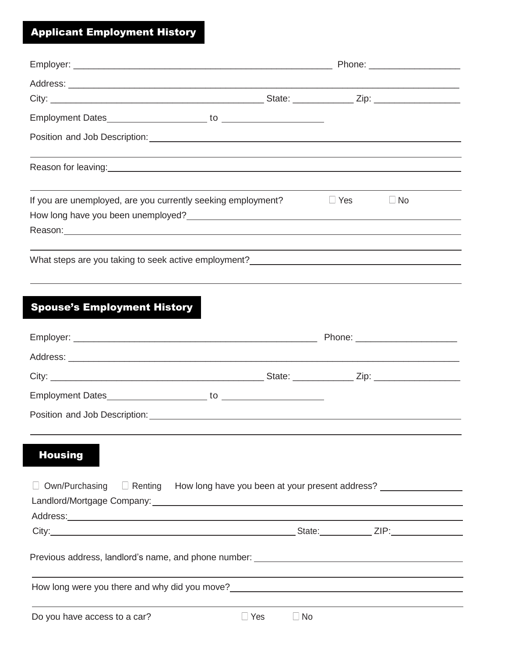# Applicant Employment History

| If you are unemployed, are you currently seeking employment?                                                                                                                                                                         |            |           | $\Box$ Yes | $\Box$ No |
|--------------------------------------------------------------------------------------------------------------------------------------------------------------------------------------------------------------------------------------|------------|-----------|------------|-----------|
| How long have you been unemployed?<br><u> How long have you been unemployed?</u>                                                                                                                                                     |            |           |            |           |
| Reason: 2008 - 2008 - 2008 - 2009 - 2009 - 2009 - 2009 - 2009 - 2009 - 2009 - 2009 - 2009 - 2009 - 2009 - 2009                                                                                                                       |            |           |            |           |
| What steps are you taking to seek active employment?                                                                                                                                                                                 |            |           |            |           |
|                                                                                                                                                                                                                                      |            |           |            |           |
|                                                                                                                                                                                                                                      |            |           |            |           |
| <b>Spouse's Employment History</b>                                                                                                                                                                                                   |            |           |            |           |
|                                                                                                                                                                                                                                      |            |           |            |           |
|                                                                                                                                                                                                                                      |            |           |            |           |
|                                                                                                                                                                                                                                      |            |           |            |           |
|                                                                                                                                                                                                                                      |            |           |            |           |
|                                                                                                                                                                                                                                      |            |           |            |           |
|                                                                                                                                                                                                                                      |            |           |            |           |
| <b>Housing</b>                                                                                                                                                                                                                       |            |           |            |           |
| Own/Purchasing <b>E</b> Renting How long have you been at your present address?                                                                                                                                                      |            |           |            |           |
| Address: <u>www.community.com and the contract of the contract of the contract of the contract of the contract of the contract of the contract of the contract of the contract of the contract of the contract of the contract o</u> |            |           |            |           |
|                                                                                                                                                                                                                                      |            |           |            |           |
| Previous address, landlord's name, and phone number: ___________________________                                                                                                                                                     |            |           |            |           |
| How long were you there and why did you move?___________________________________                                                                                                                                                     |            |           |            |           |
| Do you have access to a car?                                                                                                                                                                                                         | $\Box$ Yes | $\Box$ No |            |           |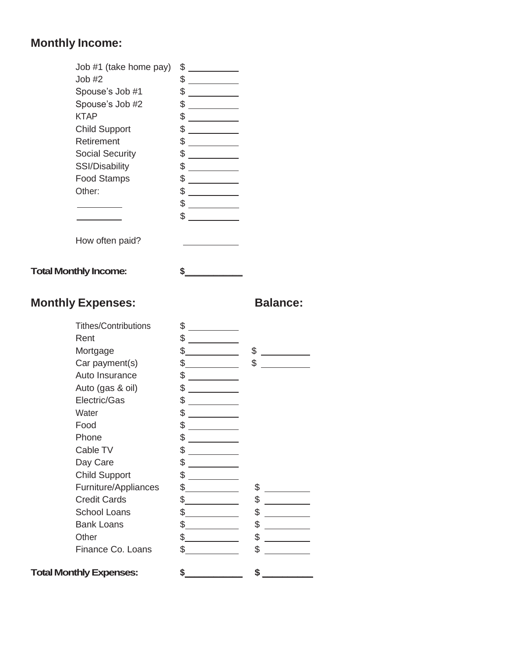## **Monthly Income:**

| Job #1 (take home pay) | \$ |
|------------------------|----|
| Job #2                 | \$ |
| Spouse's Job #1        | \$ |
| Spouse's Job #2        | \$ |
| KTAP                   | \$ |
| <b>Child Support</b>   | \$ |
| Retirement             | \$ |
| <b>Social Security</b> | \$ |
| <b>SSI/Disability</b>  | \$ |
| <b>Food Stamps</b>     | \$ |
| Other:                 | \$ |
|                        | \$ |
|                        | \$ |
|                        |    |
| How often paid?        |    |



## **Monthly Expenses: Balance:**

| <b>Tithes/Contributions</b>    | \$       |  |
|--------------------------------|----------|--|
| Rent                           | \$       |  |
| Mortgage                       | \$<br>\$ |  |
| Car payment(s)                 | \$<br>\$ |  |
| Auto Insurance                 | \$       |  |
| Auto (gas & oil)               | \$       |  |
| Electric/Gas                   | \$       |  |
| Water                          | \$       |  |
| Food                           | \$       |  |
| Phone                          | \$       |  |
| Cable TV                       | \$       |  |
| Day Care                       | \$       |  |
| <b>Child Support</b>           | \$       |  |
| Furniture/Appliances           | \$<br>\$ |  |
| <b>Credit Cards</b>            | \$<br>\$ |  |
| <b>School Loans</b>            | \$<br>\$ |  |
| <b>Bank Loans</b>              | \$<br>\$ |  |
| Other                          | \$<br>\$ |  |
| Finance Co. Loans              | \$<br>\$ |  |
| <b>Total Monthly Expenses:</b> | \$<br>\$ |  |